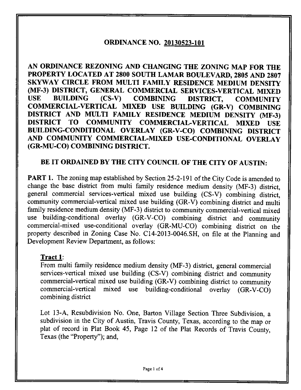## **ORDINANCE NO. 20130523-101**

**AN ORDINANCE REZONING AND CHANGING THE ZONING MAP FOR THE PROPERTY LOCATED AT 2800 SOUTH LAMAR BOULEVARD, 2805 AND 2807 SKYWAY CIRCLE FROM MULTI FAMILY RESIDENCE MEDIUM DENSITY (MF-3) DISTRICT, GENERAL COMMERCIAL SERVICES-VERTICAL MIXED USE BUILDING (CS-V) COMBINING DISTRICT, COMMUNITY COMMERCIAL-VERTICAL MIXED USE BUILDING (GR-V) COMBINING DISTRICT AND MULTI FAMILY RESIDENCE MEDIUM DENSITY (MF-3) DISTRICT TO COMMUNITY COMMERCIAL-VERTICAL MIXED USE BUILDING-CONDITIONAL OVERLAY (GR-V-CO) COMBINING DISTRICT AND COMMUNITY COMMERCIAL-MIXED USE-CONDITIONAL OVERLAY (GR-MU-CO) COMBINING DISTRICT.** 

## **BE IT ORDAINED BY THE CITY COUNCIL OF THE CITY OF AUSTIN:**

PART 1. The zoning map established by Section 25-2-191 of the City Code is amended to change the base district from multi family residence medium density (MF-3) district, general commercial services-vertical mixed use building (CS-V) combining district, community commercial-vertical mixed use building (GR-V) combining district and multi family residence medium density (MF-3) district to community commercial-vertical mixed use building-conditional overlay (GR-V-CO) combining district and community commercial-mixed use-conditional overlay (GR-MU-CO) combining district on the property described in Zoning Case No. C14-2013-0046.SH, on file at the Planning and Development Review Department, as follows:

## **Tract 1:**

From multi family residence medium density (MF-3) district, general commercial services-vertical mixed use building (CS-V) combining district and community commercial-vertical mixed use building (GR-V) combining district to community commercial-vertical mixed use building-condifional overlay (GR-V-CO) combining district

Lot 13-A, Resubdivision No. One, Barton Village Section Three Subdivision, a subdivision in the City of Austin, Travis County, Texas, according to the map or plat of record in Plat Book 45, Page 12 of the Plat Records of Travis County, Texas (the "Property"); and.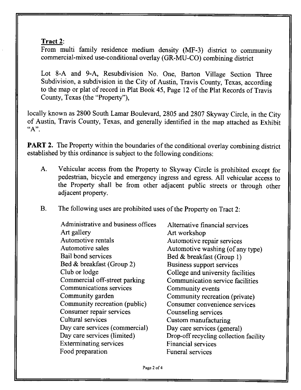## **Tract 2:**

From multi family residence medium density (MF-3) district to community commercial-mixed use-conditional overiay (GR-MU-CO) combining district

Lot 8-A and 9-A, Resubdivision No. One, Barton Village Section Three Subdivision, a subdivision in the City of Austin, Travis County, Texas, according to the map or plat of record in Plat Book 45, Page 12 of the Plat Records of Travis County, Texas (the "Property"),

locally known as 2800 South Lamar Boulevard, 2805 and 2807 Skyway Circle, in the City of Austin, Travis County, Texas, and generally identified in the map attached as Exhibit "A".

PART 2. The Property within the boundaries of the conditional overlay combining district established by this ordinance is subject to the following conditions:

- A. Vehicular access from the Property to Skyway Circle is prohibited except for pedestrian, bicycle and emergency ingress and egress. All vehicular access to the Property shall be from other adjacent public streets or through other adjacent property.
- B. The following uses are prohibited uses of the Property on Tract 2:

Administrative and business offices Art gallery Automotive rentals Automotive sales Bail bond services Bed & breakfast (Group 2) Club or lodge Commercial off-street parking Communications services Community garden Community recreation (public) Consumer repair services Cultural services Day care services (commercial) Day care services (limited) Exterminating services Food preparation

Alternative financial services Art workshop Automotive repair services Automotive washing (of any type) Bed & breakfast (Group 1) Business support services College and university facilities Communication service facilities Community events Community recreation (private) Consumer convenience services Counseling services Custom manufacturing Day care services (general) Drop-off recycling collection facility Financial services Funeral services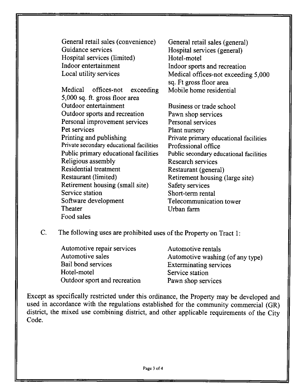General retail sales (convenience) General retail sales (general)<br>
Guidance services<br>
Hospital services (general) Hospital services (limited)<br>Indoor entertainment Indoor entertainment Indoor sports and recreation<br>
Local utility services Medical offices-not exceedin

**Medical offices-not exceeding Mobile home residential 5,000 sq. ft. gross floor area Outdoor sports and recreation Pawn shop services**  Personal improvement services<br>
Personal services<br>
Plant nurserv<br>
Plant nurserv Pet services<br> **Plant nursery**<br> **Printing and publishing**<br> **Private primary** Private secondary educational facilities<br>Public primary educational facilities **Religious assembly**<br>Research services<br>Residential treatment<br>Restaurant (general) Residential treatment **Restaurant (general)**<br> **Restaurant (limited) Restaurant housing (** Retirement housing (small site)<br>Service station Service station Short-term rental<br>
Software development Telecommunicati Software development Telecommunication tower<br>
Theater
II<sub>rban</sub> farm **Food sales** 

Hospital services (general)<br>Hotel-motel Medical offices-not exceeding 5,000 **sq. Ft gross floor area** 

**Business or trade school** Private primary educational facilities Professional office Public secondary educational facilities Retirement housing (large site) Safety services **Urban farm** 

**C. The following uses are prohibited useos f the Property on Tract 1:** 

| Automotive repair services   | Automotive rentals               |
|------------------------------|----------------------------------|
| Automotive sales             | Automotive washing (of any type) |
| Bail bond services           | <b>Exterminating services</b>    |
| Hotel-motel                  | Service station                  |
| Outdoor sport and recreation | Pawn shop services               |
|                              |                                  |

**Except as specifically restricted under this ordinance, the Property may be developed and used in accordance with the regulations established for the community commercial (GR) district, the mixed use combining district, and other applicable requirements of the City Code.**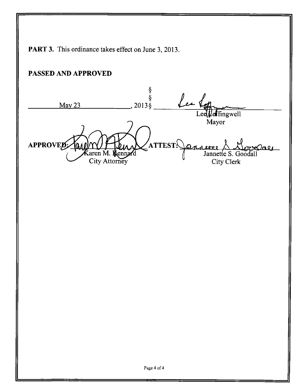PART 3. This ordinance takes effect on June 3, 2013. **PASSED AND APPROVED**  § Lee 1 § May 23 2013§  $\text{effingwell}$ Mayor APPROVED: ATTEST<sup>:</sup> annette & Herve **I I Aleneard City Attorney** City Clerk Page 4 of 4